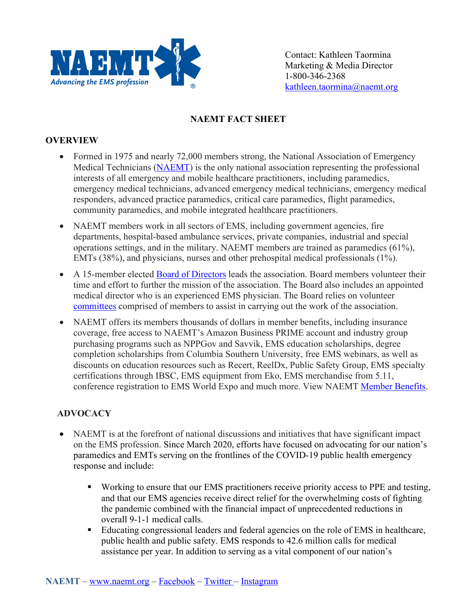

Contact: Kathleen Taormina Marketing & Media Director 1-800-346-2368 kathleen.taormina@naemt.org

## **NAEMT FACT SHEET**

## **OVERVIEW**

- Formed in 1975 and nearly 72,000 members strong, the National Association of Emergency Medical Technicians (NAEMT) is the only national association representing the professional interests of all emergency and mobile healthcare practitioners, including paramedics, emergency medical technicians, advanced emergency medical technicians, emergency medical responders, advanced practice paramedics, critical care paramedics, flight paramedics, community paramedics, and mobile integrated healthcare practitioners.
- NAEMT members work in all sectors of EMS, including government agencies, fire departments, hospital-based ambulance services, private companies, industrial and special operations settings, and in the military. NAEMT members are trained as paramedics (61%), EMTs (38%), and physicians, nurses and other prehospital medical professionals (1%).
- A 15-member elected Board of Directors leads the association. Board members volunteer their time and effort to further the mission of the association. The Board also includes an appointed medical director who is an experienced EMS physician. The Board relies on volunteer committees comprised of members to assist in carrying out the work of the association.
- NAEMT offers its members thousands of dollars in member benefits, including insurance coverage, free access to NAEMT's Amazon Business PRIME account and industry group purchasing programs such as NPPGov and Savvik, EMS education scholarships, degree completion scholarships from Columbia Southern University, free EMS webinars, as well as discounts on education resources such as Recert, ReelDx, Public Safety Group, EMS specialty certifications through IBSC, EMS equipment from Eko, EMS merchandise from 5.11, conference registration to EMS World Expo and much more. View NAEMT Member Benefits.

## **ADVOCACY**

- NAEMT is at the forefront of national discussions and initiatives that have significant impact on the EMS profession. Since March 2020, efforts have focused on advocating for our nation's paramedics and EMTs serving on the frontlines of the COVID-19 public health emergency response and include:
	- ! Working to ensure that our EMS practitioners receive priority access to PPE and testing, and that our EMS agencies receive direct relief for the overwhelming costs of fighting the pandemic combined with the financial impact of unprecedented reductions in overall 9-1-1 medical calls.
	- ! Educating congressional leaders and federal agencies on the role of EMS in healthcare, public health and public safety. EMS responds to 42.6 million calls for medical assistance per year. In addition to serving as a vital component of our nation's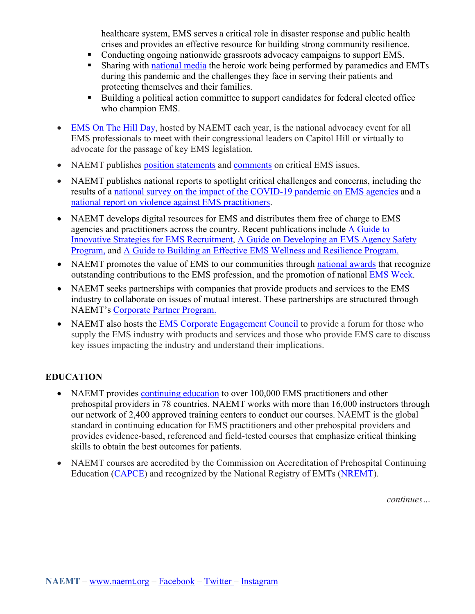healthcare system, EMS serves a critical role in disaster response and public health crises and provides an effective resource for building strong community resilience.

- Conducting ongoing nationwide grassroots advocacy campaigns to support EMS.
- ! Sharing with national media the heroic work being performed by paramedics and EMTs during this pandemic and the challenges they face in serving their patients and protecting themselves and their families.
- ! Building a political action committee to support candidates for federal elected office who champion EMS.
- EMS On The Hill Day, hosted by NAEMT each year, is the national advocacy event for all EMS professionals to meet with their congressional leaders on Capitol Hill or virtually to advocate for the passage of key EMS legislation.
- NAEMT publishes position statements and comments on critical EMS issues.
- NAEMT publishes national reports to spotlight critical challenges and concerns, including the results of a national survey on the impact of the COVID-19 pandemic on EMS agencies and a national report on violence against EMS practitioners.
- NAEMT develops digital resources for EMS and distributes them free of charge to EMS agencies and practitioners across the country. Recent publications include A Guide to Innovative Strategies for EMS Recruitment, A Guide on Developing an EMS Agency Safety Program, and A Guide to Building an Effective EMS Wellness and Resilience Program.
- NAEMT promotes the value of EMS to our communities through national awards that recognize outstanding contributions to the EMS profession, and the promotion of national EMS Week.
- NAEMT seeks partnerships with companies that provide products and services to the EMS industry to collaborate on issues of mutual interest. These partnerships are structured through NAEMT's Corporate Partner Program.
- NAEMT also hosts the **EMS** Corporate Engagement Council to provide a forum for those who supply the EMS industry with products and services and those who provide EMS care to discuss key issues impacting the industry and understand their implications.

## **EDUCATION**

- NAEMT provides continuing education to over 100,000 EMS practitioners and other prehospital providers in 78 countries. NAEMT works with more than 16,000 instructors through our network of 2,400 approved training centers to conduct our courses. NAEMT is the global standard in continuing education for EMS practitioners and other prehospital providers and provides evidence-based, referenced and field-tested courses that emphasize critical thinking skills to obtain the best outcomes for patients.
- NAEMT courses are accredited by the Commission on Accreditation of Prehospital Continuing Education (CAPCE) and recognized by the National Registry of EMTs (NREMT).

*continues…*